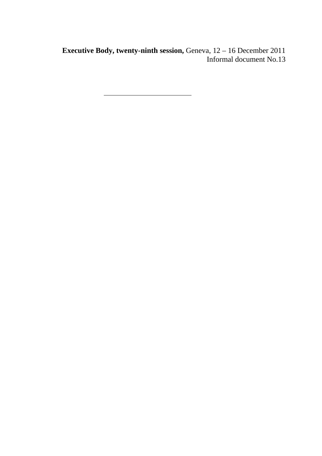**Executive Body, twenty-ninth session, Geneva, 12 - 16 December 2011** Informal document No.13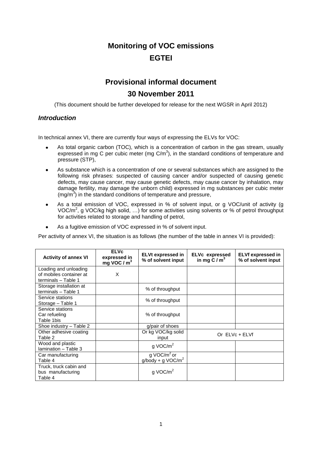## **Monitoring of VOC emissions EGTEI**

# **Provisional informal document**

## **30 November 2011**

(This document should be further developed for release for the next WGSR in April 2012)

## *Introduction*

In technical annex VI, there are currently four ways of expressing the ELVs for VOC:

- As total organic carbon (TOC), which is a concentration of carbon in the gas stream, usually expressed in mg C per cubic meter (mg  $C/m<sup>3</sup>$ ), in the standard conditions of temperature and pressure (STP),
- As substance which is a concentration of one or several substances which are assigned to the following risk phrases: suspected of causing cancer and/or suspected of causing genetic defects, may cause cancer, may cause genetic defects, may cause cancer by inhalation, may damage fertility, may damage the unborn child) expressed in mg substances per cubic meter (mg/m<sup>3</sup>) in the standard conditions of temperature and pressure,
- As a total emission of VOC, expressed in % of solvent input, or g VOC/unit of activity (g VOC/ $m^2$ , g VOC/kg high solid, ...) for some activities using solvents or % of petrol throughput for activities related to storage and handling of petrol,
- As a fugitive emission of VOC expressed in % of solvent input.

Per activity of annex VI, the situation is as follows (the number of the table in annex VI is provided):

| <b>Activity of annex VI</b>                                           | <b>ELVc</b><br>expressed in<br>mg VOC / $m3$ | <b>ELVt expressed in</b><br>% of solvent input | <b>ELVc</b> expressed<br>in mg $C/m3$ | <b>ELVf expressed in</b><br>% of solvent input |
|-----------------------------------------------------------------------|----------------------------------------------|------------------------------------------------|---------------------------------------|------------------------------------------------|
| Loading and unloading<br>of mobiles container at                      | X                                            |                                                |                                       |                                                |
| terminals - Table 1<br>Storage installation at<br>terminals - Table 1 |                                              | % of throughput                                |                                       |                                                |
| Service stations<br>Storage - Table 1                                 |                                              | % of throughput                                |                                       |                                                |
| Service stations<br>Car refueling<br>Table 1bis                       |                                              | % of throughput                                |                                       |                                                |
| Shoe industry - Table 2                                               |                                              | g/pair of shoes                                |                                       |                                                |
| Other adhesive coating<br>Table 2                                     |                                              | Or kg VOC/kg solid<br>input                    | Or ELVc + ELVf                        |                                                |
| Wood and plastic<br>Iamination - Table 3                              |                                              | $q$ VOC/ $m2$                                  |                                       |                                                |
| Car manufacturing<br>Table 4                                          |                                              | g VOC/m <sup>2</sup> or<br>$g/body + g VOC/m2$ |                                       |                                                |
| Truck, truck cabin and<br>bus manufacturing<br>Table 4                |                                              | $q$ VOC/ $m2$                                  |                                       |                                                |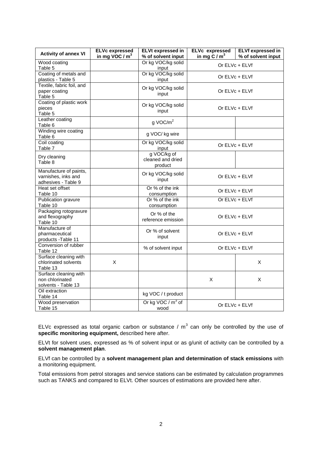| <b>Activity of annex VI</b>                                          | <b>ELVc expressed</b><br>in mg VOC / $m3$ | <b>ELVt expressed in</b><br>% of solvent input | <b>ELVc</b> expressed<br>in mg C / $m3$ | <b>ELVf expressed in</b><br>% of solvent input |
|----------------------------------------------------------------------|-------------------------------------------|------------------------------------------------|-----------------------------------------|------------------------------------------------|
| Wood coating<br>Table 5                                              |                                           | Or kg VOC/kg solid<br>input                    | Or ELVc + ELVf                          |                                                |
| Coating of metals and<br>plastics - Table 5                          |                                           | Or kg VOC/kg solid<br>input                    | Or ELVc + ELVf                          |                                                |
| Textile, fabric foil, and<br>paper coating<br>Table 5                |                                           | Or kg VOC/kg solid<br>input                    | Or ELVc + ELVf                          |                                                |
| Coating of plastic work<br>pieces<br>Table 5                         |                                           | Or kg VOC/kg solid<br>input                    | Or $ELVc + ELVf$                        |                                                |
| Leather coating<br>Table 6                                           |                                           | $g$ VOC/ $m2$                                  |                                         |                                                |
| Winding wire coating<br>Table 6                                      |                                           | g VOC/ kg wire                                 |                                         |                                                |
| Coil coating<br>Table 7                                              |                                           | Or kg VOC/kg solid<br>input                    | Or ELVc + ELVf                          |                                                |
| Dry cleaning<br>Table 8                                              |                                           | g VOC/kg of<br>cleaned and dried<br>product    |                                         |                                                |
| Manufacture of paints,<br>varnishes, inks and<br>adhesives - Table 9 |                                           | Or kg VOC/kg solid<br>input                    | Or $ELVc + ELVf$                        |                                                |
| Heat set offset<br>Table 10                                          |                                           | Or % of the ink<br>consumption                 | Or $ELVc + ELVf$                        |                                                |
| Publication gravure<br>Table 10                                      |                                           | Or % of the ink<br>consumption                 |                                         | Or ELVc + ELVf                                 |
| Packaging rotogravure<br>and flexography<br>Table 10                 |                                           | Or % of the<br>reference emission              | Or ELVc + ELVf                          |                                                |
| Manufacture of<br>pharmaceutical<br>products - Table 11              |                                           | Or % of solvent<br>input                       | Or ELVc + ELVf                          |                                                |
| Conversion of rubber<br>Table 12                                     |                                           | % of solvent input                             | Or ELVc + ELVf                          |                                                |
| Surface cleaning with<br>chlorinated solvents<br>Table 13            | X                                         |                                                |                                         | X                                              |
| Surface cleaning with<br>non chlorinated<br>solvents - Table 13      |                                           |                                                | X                                       | X                                              |
| Oil extraction<br>Table 14                                           |                                           | kg VOC / t product                             |                                         |                                                |
| Wood preservation<br>Table 15                                        |                                           | Or kg VOC / $m^3$ of<br>wood                   | Or ELVc + ELVf                          |                                                |

ELVc expressed as total organic carbon or substance /  $m<sup>3</sup>$  can only be controlled by the use of **specific monitoring equipment,** described here after.

ELVt for solvent uses, expressed as % of solvent input or as g/unit of activity can be controlled by a **solvent management plan**.

ELVf can be controlled by a **solvent management plan and determination of stack emissions** with a monitoring equipment.

Total emissions from petrol storages and service stations can be estimated by calculation programmes such as TANKS and compared to ELVt. Other sources of estimations are provided here after.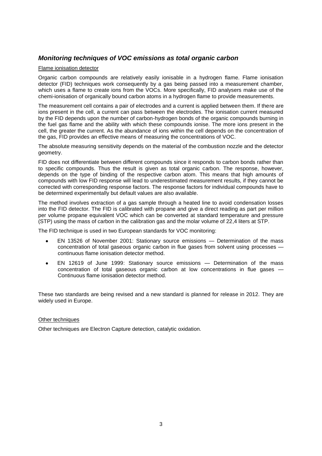### *Monitoring techniques of VOC emissions as total organic carbon*

#### Flame ionisation detector

Organic carbon compounds are relatively easily ionisable in a hydrogen flame. Flame ionisation detector (FID) techniques work consequently by a gas being passed into a measurement chamber, which uses a flame to create ions from the VOCs. More specifically, FID analysers make use of the chemi-ionisation of organically bound carbon atoms in a hydrogen flame to provide measurements.

The measurement cell contains a pair of electrodes and a current is applied between them. If there are ions present in the cell, a current can pass between the electrodes. The ionisation current measured by the FID depends upon the number of carbon-hydrogen bonds of the organic compounds burning in the fuel gas flame and the ability with which these compounds ionise. The more ions present in the cell, the greater the current. As the abundance of ions within the cell depends on the concentration of the gas, FID provides an effective means of measuring the concentrations of VOC.

The absolute measuring sensitivity depends on the material of the combustion nozzle and the detector geometry.

FID does not differentiate between different compounds since it responds to carbon bonds rather than to specific compounds. Thus the result is given as total organic carbon. The response, however, depends on the type of binding of the respective carbon atom. This means that high amounts of compounds with low FID response will lead to underestimated measurement results, if they cannot be corrected with corresponding response factors. The response factors for individual compounds have to be determined experimentally but default values are also available.

The method involves extraction of a gas sample through a heated line to avoid condensation losses into the FID detector. The FID is calibrated with propane and give a direct reading as part per million per volume propane equivalent VOC which can be converted at standard temperature and pressure (STP) using the mass of carbon in the calibration gas and the molar volume of 22,4 liters at STP.

The FID technique is used in two European standards for VOC monitoring:

- EN 13526 of November 2001: Stationary source emissions Determination of the mass concentration of total gaseous organic carbon in flue gases from solvent using processes continuous flame ionisation detector method.
- EN 12619 of June 1999: Stationary source emissions Determination of the mass concentration of total gaseous organic carbon at low concentrations in flue gases — Continuous flame ionisation detector method.

These two standards are being revised and a new standard is planned for release in 2012. They are widely used in Europe.

#### Other techniques

Other techniques are Electron Capture detection, catalytic oxidation.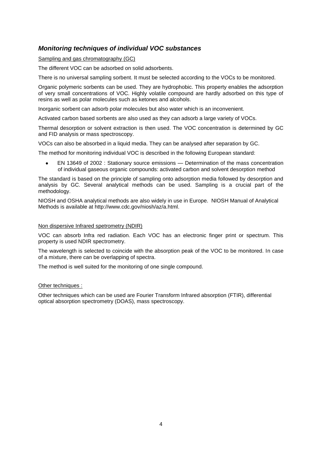## *Monitoring techniques of individual VOC substances*

Sampling and gas chromatography (GC)

The different VOC can be adsorbed on solid adsorbents.

There is no universal sampling sorbent. It must be selected according to the VOCs to be monitored.

Organic polymeric sorbents can be used. They are hydrophobic. This property enables the adsorption of very small concentrations of VOC. Highly volatile compound are hardly adsorbed on this type of resins as well as polar molecules such as ketones and alcohols.

Inorganic sorbent can adsorb polar molecules but also water which is an inconvenient.

Activated carbon based sorbents are also used as they can adsorb a large variety of VOCs.

Thermal desorption or solvent extraction is then used. The VOC concentration is determined by GC and FID analysis or mass spectroscopy.

VOCs can also be absorbed in a liquid media. They can be analysed after separation by GC.

The method for monitoring individual VOC is described in the following European standard:

EN 13649 of 2002 : Stationary source emissions — Determination of the mass concentration of individual gaseous organic compounds: activated carbon and solvent desorption method

The standard is based on the principle of sampling onto adsorption media followed by desorption and analysis by GC. Several analytical methods can be used. Sampling is a crucial part of the methodology.

NIOSH and OSHA analytical methods are also widely in use in Europe. NIOSH Manual of Analytical Methods is available at http://www.cdc.gov/niosh/az/a.html.

#### Non dispersive Infrared spetrometry (NDIR)

VOC can absorb Infra red radiation. Each VOC has an electronic finger print or spectrum. This property is used NDIR spectrometry.

The wavelength is selected to coincide with the absorption peak of the VOC to be monitored. In case of a mixture, there can be overlapping of spectra.

The method is well suited for the monitoring of one single compound.

#### Other techniques :

Other techniques which can be used are Fourier Transform Infrared absorption (FTIR), differential optical absorption spectrometry (DOAS), mass spectroscopy.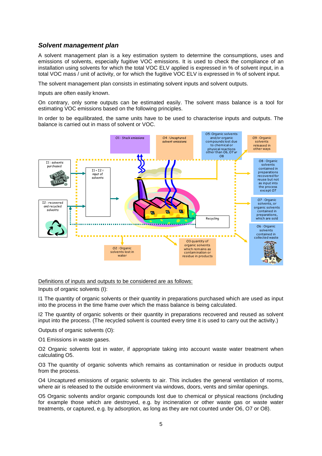#### *Solvent management plan*

A solvent management plan is a key estimation system to determine the consumptions, uses and emissions of solvents, especially fugitive VOC emissions. It is used to check the compliance of an installation using solvents for which the total VOC ELV applied is expressed in % of solvent input, in a total VOC mass / unit of activity, or for which the fugitive VOC ELV is expressed in % of solvent input.

The solvent management plan consists in estimating solvent inputs and solvent outputs.

Inputs are often easily known.

On contrary, only some outputs can be estimated easily. The solvent mass balance is a tool for estimating VOC emissions based on the following principles.

In order to be equilibrated, the same units have to be used to characterise inputs and outputs. The balance is carried out in mass of solvent or VOC.



Definitions of inputs and outputs to be considered are as follows:

Inputs of organic solvents (I):

I1 The quantity of organic solvents or their quantity in preparations purchased which are used as input into the process in the time frame over which the mass balance is being calculated.

I2 The quantity of organic solvents or their quantity in preparations recovered and reused as solvent input into the process. (The recycled solvent is counted every time it is used to carry out the activity.)

Outputs of organic solvents (O):

O1 Emissions in waste gases.

O2 Organic solvents lost in water, if appropriate taking into account waste water treatment when calculating O5.

O3 The quantity of organic solvents which remains as contamination or residue in products output from the process.

O4 Uncaptured emissions of organic solvents to air. This includes the general ventilation of rooms, where air is released to the outside environment via windows, doors, vents and similar openings.

O5 Organic solvents and/or organic compounds lost due to chemical or physical reactions (including for example those which are destroyed, e.g. by incineration or other waste gas or waste water treatments, or captured, e.g. by adsorption, as long as they are not counted under O6, O7 or O8).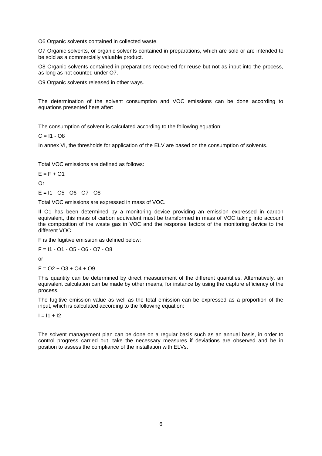O6 Organic solvents contained in collected waste.

O7 Organic solvents, or organic solvents contained in preparations, which are sold or are intended to be sold as a commercially valuable product.

O8 Organic solvents contained in preparations recovered for reuse but not as input into the process, as long as not counted under O7.

O9 Organic solvents released in other ways.

The determination of the solvent consumption and VOC emissions can be done according to equations presented here after:

The consumption of solvent is calculated according to the following equation:

 $C = 11 - OR$ 

In annex VI, the thresholds for application of the ELV are based on the consumption of solvents.

Total VOC emissions are defined as follows:

 $E = F + O1$ 

Or

 $E = 11 - 05 - 06 - 07 - 08$ 

Total VOC emissions are expressed in mass of VOC.

If O1 has been determined by a monitoring device providing an emission expressed in carbon equivalent, this mass of carbon equivalent must be transformed in mass of VOC taking into account the composition of the waste gas in VOC and the response factors of the monitoring device to the different VOC.

F is the fugitive emission as defined below:

F = I1 - O1 - O5 - O6 - O7 - O8

or

 $F = O2 + O3 + O4 + O9$ 

This quantity can be determined by direct measurement of the different quantities. Alternatively, an equivalent calculation can be made by other means, for instance by using the capture efficiency of the process.

The fugitive emission value as well as the total emission can be expressed as a proportion of the input, which is calculated according to the following equation:

 $I = 11 + 12$ 

The solvent management plan can be done on a regular basis such as an annual basis, in order to control progress carried out, take the necessary measures if deviations are observed and be in position to assess the compliance of the installation with ELVs.